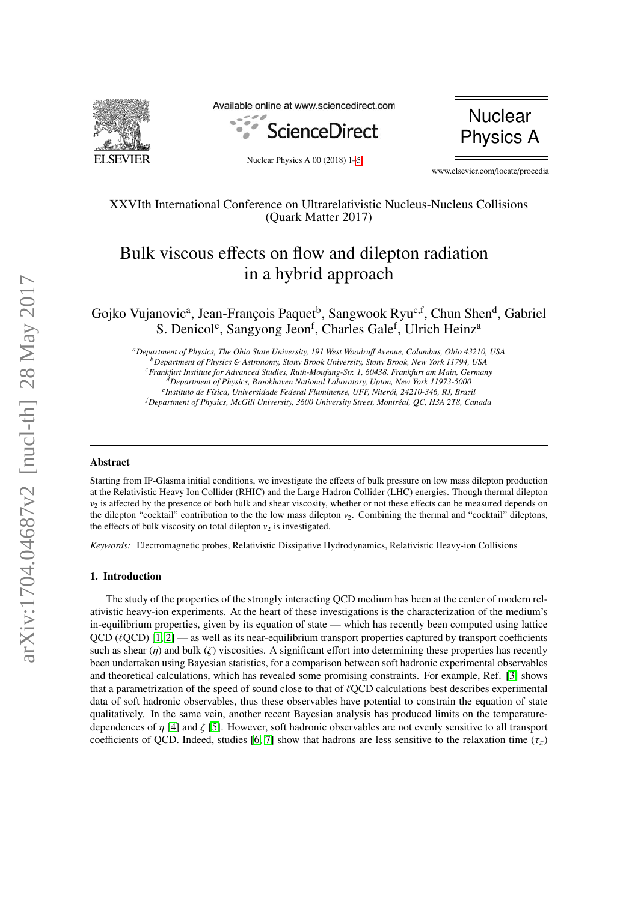

Available online at www.sciencedirect.com





Nuclear Physics A 00 (2018) 1[–5](#page-3-0)

www.elsevier.com/locate/procedia

# XXVIth International Conference on Ultrarelativistic Nucleus-Nucleus Collisions (Quark Matter 2017)

# Bulk viscous effects on flow and dilepton radiation in a hybrid approach

Gojko Vujanovic<sup>a</sup>, Jean-François Paquet<sup>b</sup>, Sangwook Ryu<sup>c,f</sup>, Chun Shen<sup>d</sup>, Gabriel S. Denicol<sup>e</sup>, Sangyong Jeon<sup>f</sup>, Charles Gale<sup>f</sup>, Ulrich Heinz<sup>a</sup>

*<sup>a</sup>Department of Physics, The Ohio State University, 191 West Woodru*ff *Avenue, Columbus, Ohio 43210, USA <sup>b</sup>Department of Physics* & *Astronomy, Stony Brook University, Stony Brook, New York 11794, USA <sup>c</sup>Frankfurt Institute for Advanced Studies, Ruth-Moufang-Str. 1, 60438, Frankfurt am Main, Germany*

*<sup>d</sup>Department of Physics, Brookhaven National Laboratory, Upton, New York 11973-5000*

<sup>e</sup> Instituto de Física, Universidade Federal Fluminense, UFF, Niterói, 24210-346, RJ, Brazil

*<sup>f</sup>Department of Physics, McGill University, 3600 University Street, Montr´eal, QC, H3A 2T8, Canada*

# Abstract

Starting from IP-Glasma initial conditions, we investigate the effects of bulk pressure on low mass dilepton production at the Relativistic Heavy Ion Collider (RHIC) and the Large Hadron Collider (LHC) energies. Though thermal dilepton  $v<sub>2</sub>$  is affected by the presence of both bulk and shear viscosity, whether or not these effects can be measured depends on the dilepton "cocktail" contribution to the the low mass dilepton  $v_2$ . Combining the thermal and "cocktail" dileptons, the effects of bulk viscosity on total dilepton  $v_2$  is investigated.

*Keywords:* Electromagnetic probes, Relativistic Dissipative Hydrodynamics, Relativistic Heavy-ion Collisions

# 1. Introduction

The study of the properties of the strongly interacting QCD medium has been at the center of modern relativistic heavy-ion experiments. At the heart of these investigations is the characterization of the medium's in-equilibrium properties, given by its equation of state — which has recently been computed using lattice  $QCD$  ( $\ell QCD$ ) [\[1,](#page-3-1) [2\]](#page-3-2) — as well as its near-equilibrium transport properties captured by transport coefficients such as shear (η) and bulk (ζ) viscosities. A significant effort into determining these properties has recently been undertaken using Bayesian statistics, for a comparison between soft hadronic experimental observables and theoretical calculations, which has revealed some promising constraints. For example, Ref. [\[3\]](#page-3-3) shows that a parametrization of the speed of sound close to that of  $\ell QCD$  calculations best describes experimental data of soft hadronic observables, thus these observables have potential to constrain the equation of state qualitatively. In the same vein, another recent Bayesian analysis has produced limits on the temperaturedependences of  $\eta$  [\[4\]](#page-3-4) and  $\zeta$  [\[5\]](#page-3-5). However, soft hadronic observables are not evenly sensitive to all transport coefficients of QCD. Indeed, studies [\[6,](#page-3-6) [7\]](#page-3-7) show that hadrons are less sensitive to the relaxation time ( $\tau_{\pi}$ )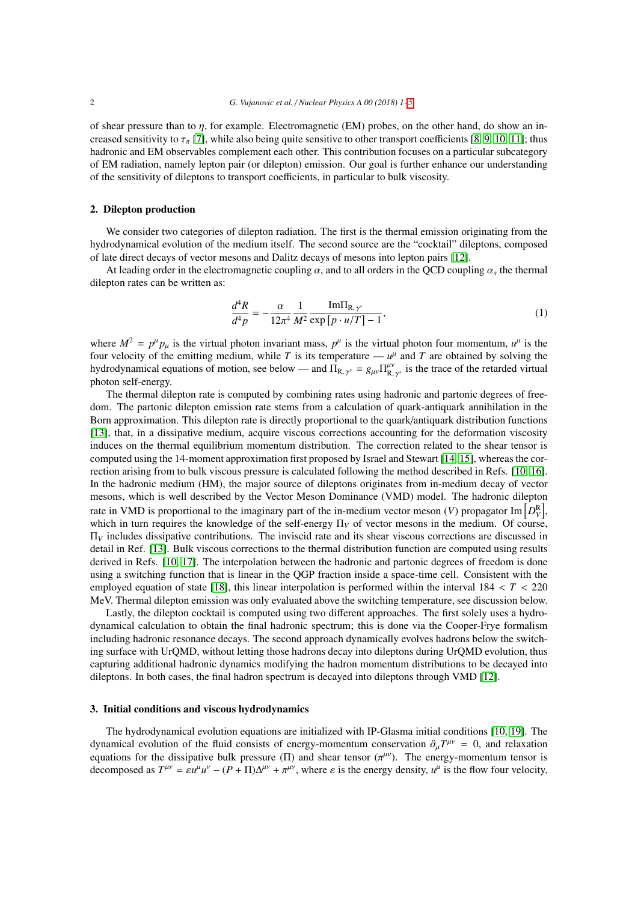of shear pressure than to *n*, for example. Electromagnetic (EM) probes, on the other hand, do show an increased sensitivity to  $\tau_{\pi}$  [\[7\]](#page-3-7), while also being quite sensitive to other transport coefficients [\[8,](#page-3-8) [9,](#page-3-9) [10,](#page-3-10) [11\]](#page-3-11); thus hadronic and EM observables complement each other. This contribution focuses on a particular subcategory of EM radiation, namely lepton pair (or dilepton) emission. Our goal is further enhance our understanding of the sensitivity of dileptons to transport coefficients, in particular to bulk viscosity.

## 2. Dilepton production

We consider two categories of dilepton radiation. The first is the thermal emission originating from the hydrodynamical evolution of the medium itself. The second source are the "cocktail" dileptons, composed of late direct decays of vector mesons and Dalitz decays of mesons into lepton pairs [\[12\]](#page-3-12).

At leading order in the electromagnetic coupling  $\alpha$ , and to all orders in the QCD coupling  $\alpha_s$  the thermal properties can be written as: dilepton rates can be written as:

$$
\frac{d^4R}{d^4p} = -\frac{\alpha}{12\pi^4} \frac{1}{M^2} \frac{\text{Im}\Pi_{\text{R},\gamma^*}}{\exp\left[p \cdot u/T\right] - 1},\tag{1}
$$

where  $M^2 = p^{\mu} p_{\mu}$  is the virtual photon invariant mass,  $p^{\mu}$  is the virtual photon four momentum,  $u^{\mu}$  is the virtual photon four momentum,  $u^{\mu}$  is the column that  $T$  is the column while  $T$  is its temperat four velocity of the emitting medium, while  $T$  is its temperature —  $u^{\mu}$  and  $T$  are obtained by solving the hydrodynamical equations of motion, see below — and  $\Pi_{R, \gamma^*} = g_{\mu\nu} \Pi_{R, \gamma^*}^{\mu\nu}$  is the trace of the retarded virtual photon self-energy photon self-energy.

The thermal dilepton rate is computed by combining rates using hadronic and partonic degrees of freedom. The partonic dilepton emission rate stems from a calculation of quark-antiquark annihilation in the Born approximation. This dilepton rate is directly proportional to the quark/antiquark distribution functions [\[13\]](#page-3-13), that, in a dissipative medium, acquire viscous corrections accounting for the deformation viscosity induces on the thermal equilibrium momentum distribution. The correction related to the shear tensor is computed using the 14-moment approximation first proposed by Israel and Stewart [\[14,](#page-3-14) [15\]](#page-3-15), whereas the correction arising from to bulk viscous pressure is calculated following the method described in Refs. [\[10,](#page-3-10) [16\]](#page-3-16). In the hadronic medium (HM), the major source of dileptons originates from in-medium decay of vector mesons, which is well described by the Vector Meson Dominance (VMD) model. The hadronic dilepton rate in VMD is proportional to the imaginary part of the in-medium vector meson (*V*) propagator Im  $\left[ D_{V}^{\text{R}}\right]$ , which in turn requires the knowledge of the self-energy Π<sub>V</sub> of vector mesons in the medium. Of course, Π*<sup>V</sup>* includes dissipative contributions. The inviscid rate and its shear viscous corrections are discussed in detail in Ref. [\[13\]](#page-3-13). Bulk viscous corrections to the thermal distribution function are computed using results derived in Refs. [\[10,](#page-3-10) [17\]](#page-3-17). The interpolation between the hadronic and partonic degrees of freedom is done using a switching function that is linear in the QGP fraction inside a space-time cell. Consistent with the employed equation of state [\[18\]](#page-4-0), this linear interpolation is performed within the interval 184 < *<sup>T</sup>* < <sup>220</sup> MeV. Thermal dilepton emission was only evaluated above the switching temperature, see discussion below.

Lastly, the dilepton cocktail is computed using two different approaches. The first solely uses a hydrodynamical calculation to obtain the final hadronic spectrum; this is done via the Cooper-Frye formalism including hadronic resonance decays. The second approach dynamically evolves hadrons below the switching surface with UrQMD, without letting those hadrons decay into dileptons during UrQMD evolution, thus capturing additional hadronic dynamics modifying the hadron momentum distributions to be decayed into dileptons. In both cases, the final hadron spectrum is decayed into dileptons through VMD [\[12\]](#page-3-12).

# 3. Initial conditions and viscous hydrodynamics

The hydrodynamical evolution equations are initialized with IP-Glasma initial conditions [\[10,](#page-3-10) [19\]](#page-4-1). The dynamical evolution of the fluid consists of energy-momentum conservation  $\partial_{\mu}T^{\mu\nu} = 0$ , and relaxation equations for the dissipative bulk pressure (II) and shear tensor ( $\pi^{\mu\nu}$ ). The energy-momentum tensor is equations for the dissipative bulk pressure (Π) and shear tensor ( $\pi^{\mu\nu}$ ). The energy-momentum tensor is decomposed as  $T^{\mu\nu} = \epsilon \nu^{\mu} \nu^{\nu} = (P + \Pi) \Lambda^{\mu\nu} + \pi^{\mu\nu}$  where s is the energy density  $\nu^{\mu}$  is the flo decomposed as  $T^{\mu\nu} = \varepsilon u^{\mu} u^{\nu} - (P + \Pi) \Delta^{\mu\nu} + \pi^{\mu\nu}$ , where  $\varepsilon$  is the energy density,  $u^{\mu}$  is the flow four velocity,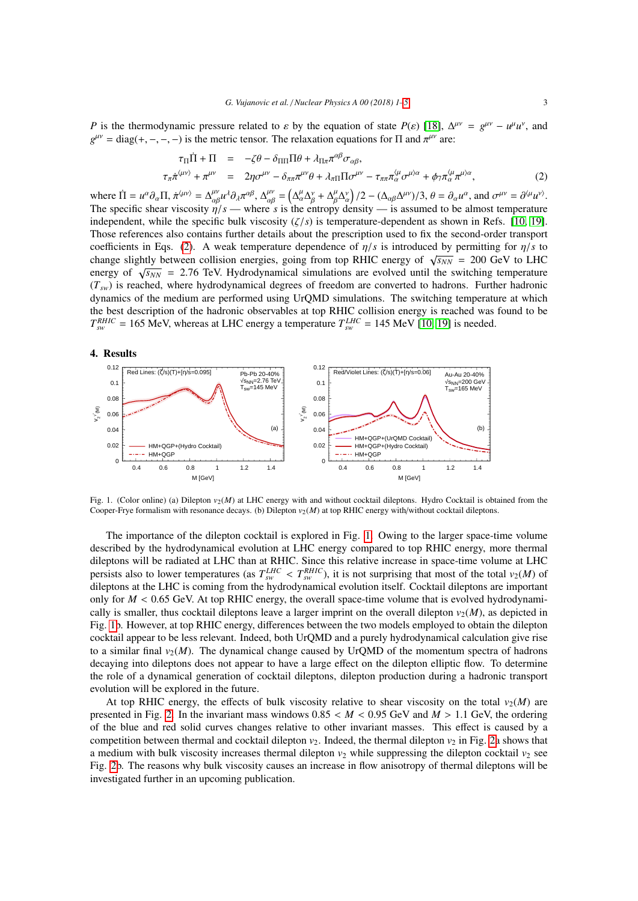*P* is the thermodynamic pressure related to  $\varepsilon$  by the equation of state *P*( $\varepsilon$ ) [\[18\]](#page-4-0),  $\Delta^{\mu\nu} = g^{\mu\nu} - u^{\mu}u^{\nu}$ , and  $g^{\mu\nu} = d \text{is} g(t - \mu - \mu)$  is the metric tensor. The relaxation equations for  $\Pi$  and  $\pi^{\mu\n$  $g^{\mu\nu} = \text{diag}(+,-,-,-)$  is the metric tensor. The relaxation equations for  $\Pi$  and  $\pi^{\mu\nu}$  are:

<span id="page-2-0"></span>
$$
\tau_{\Pi}\dot{\Pi} + \Pi = -\zeta\theta - \delta_{\Pi\Pi}\Pi\theta + \lambda_{\Pi\pi}\pi^{\alpha\beta}\sigma_{\alpha\beta},
$$
\n
$$
\tau_{\pi}\dot{\pi}^{\langle\mu\nu\rangle} + \pi^{\mu\nu} = 2\eta\sigma^{\mu\nu} - \delta_{\pi\pi}\pi^{\mu\nu}\theta + \lambda_{\pi\Pi}\Pi\sigma^{\mu\nu} - \tau_{\pi\pi}\pi^{\langle\mu}_{\alpha}\sigma^{\mu\rangle\alpha} + \phi_{\tau}\pi^{\langle\mu}_{\alpha}\pi^{\mu\rangle\alpha},
$$
\n(2)

where  $\Pi = u^{\alpha} \partial_{\alpha} \Pi$ ,  $\pi^{\langle \mu \rangle} = \Delta^{\mu \nu}_{\alpha \beta} u^{\lambda} \partial_{\lambda} \pi^{\alpha \beta}$ ,  $\Delta^{\mu \nu}_{\alpha \beta} = \left( \Delta^{\mu}_{\alpha} \Delta^{\nu}_{\beta} + \Delta^{\mu}_{\beta} \Delta^{\nu}_{\alpha} \right)$ <br>The specific shear viscosity  $n/s$  — where s is the entropy do  $/(2 - (\Delta_{\alpha\beta}\Delta^{\mu\nu})/3, \theta = \partial_{\alpha}u^{\alpha}$ , and  $\sigma^{\mu\nu} = \partial^{\langle \mu}u^{\nu\rangle}$ . The specific shear viscosity  $\eta/s$  — where *s* is the entropy density — is assumed to be almost temperature independent while the specific bulk viscosity  $(\ell/s)$  is temperature-dependent as shown in Refs. [10, 10] independent, while the specific bulk viscosity (ζ/*s*) is temperature-dependent as shown in Refs. [\[10,](#page-3-10) [19\]](#page-4-1). Those references also contains further details about the prescription used to fix the second-order transport coefficients in Eqs. [\(2\)](#page-2-0). A weak temperature dependence of  $\eta/s$  is introduced by permitting for  $\eta/s$  to coefficients in Eqs. (2). A weak temperature dependence of  $\eta/s$  is introduced by permitting for  $\eta/s$  to the change slightly between collision energies, going from top RHIC energy of  $\sqrt{s_{NN}}$  = 200 GeV to LHC energy of  $\sqrt{s_{NN}}$  = 2.76 TeV. Hydrodynamical simulations are evolved until the switching temperature<br>(*T*) is reached where bydrodynamical degrees of freedom are converted to badrons. Further badronic  $(T_{sw})$  is reached, where hydrodynamical degrees of freedom are converted to hadrons. Further hadronic dynamics of the medium are performed using UrQMD simulations. The switching temperature at which the best description of the hadronic observables at top RHIC collision energy is reached was found to be  $T_{sw}^{RHIC}$  = 165 MeV, whereas at LHC energy a temperature  $T_{sw}^{LHC}$  = 145 MeV [\[10,](#page-3-10) [19\]](#page-4-1) is needed.

#### 4. Results



<span id="page-2-1"></span>Fig. 1. (Color online) (a) Dilepton  $v_2(M)$  at LHC energy with and without cocktail dileptons. Hydro Cocktail is obtained from the Cooper-Frye formalism with resonance decays. (b) Dilepton  $v_2(M)$  at top RHIC energy with/without cocktail dileptons.

The importance of the dilepton cocktail is explored in Fig. [1.](#page-2-1) Owing to the larger space-time volume described by the hydrodynamical evolution at LHC energy compared to top RHIC energy, more thermal dileptons will be radiated at LHC than at RHIC. Since this relative increase in space-time volume at LHC persists also to lower temperatures (as  $T_{sw}^{LHC} < T_{sw}^{RHIC}$ ), it is not surprising that most of the total  $v_2(M)$  of dilentons at the LHC is coming from the hydrodynamical evolution itself. Cocktail dilentons are importan dileptons at the LHC is coming from the hydrodynamical evolution itself. Cocktail dileptons are important only for  $M < 0.65$  GeV. At top RHIC energy, the overall space-time volume that is evolved hydrodynamically is smaller, thus cocktail dileptons leave a larger imprint on the overall dilepton  $v_2(M)$ , as depicted in Fig. [1b](#page-2-1). However, at top RHIC energy, differences between the two models employed to obtain the dilepton cocktail appear to be less relevant. Indeed, both UrQMD and a purely hydrodynamical calculation give rise to a similar final  $v_2(M)$ . The dynamical change caused by UrOMD of the momentum spectra of hadrons decaying into dileptons does not appear to have a large effect on the dilepton elliptic flow. To determine the role of a dynamical generation of cocktail dileptons, dilepton production during a hadronic transport evolution will be explored in the future.

At top RHIC energy, the effects of bulk viscosity relative to shear viscosity on the total  $v_2(M)$  are presented in Fig. [2.](#page-3-18) In the invariant mass windows  $0.85 < M < 0.95$  GeV and  $M > 1.1$  GeV, the ordering of the blue and red solid curves changes relative to other invariant masses. This effect is caused by a competition between thermal and cocktail dilepton  $v_2$ . Indeed, the thermal dilepton  $v_2$  in Fig. [2a](#page-3-18) shows that a medium with bulk viscosity increases thermal dilepton  $v_2$  while suppressing the dilepton cocktail  $v_2$  see Fig. [2b](#page-3-18). The reasons why bulk viscosity causes an increase in flow anisotropy of thermal dileptons will be investigated further in an upcoming publication.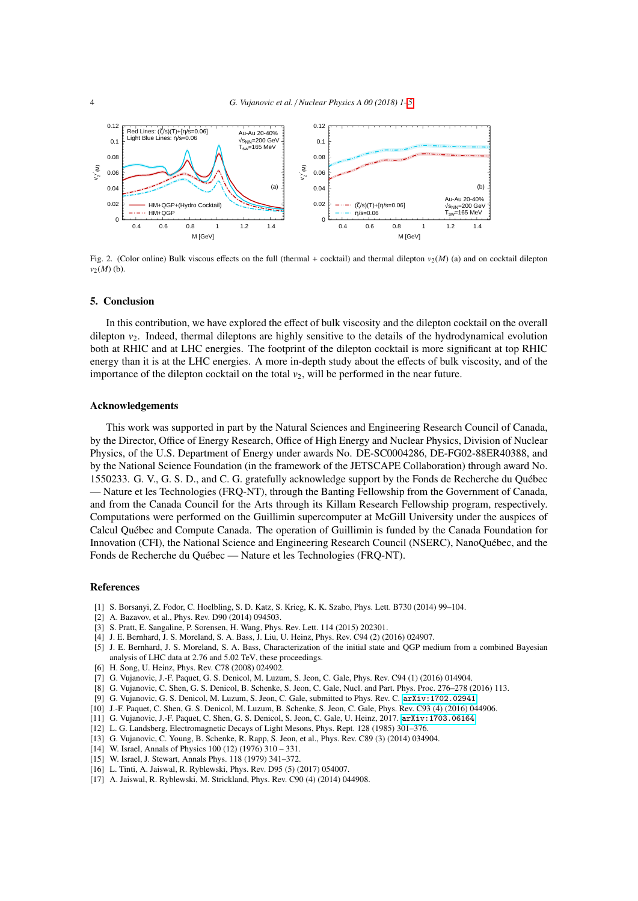

<span id="page-3-18"></span>Fig. 2. (Color online) Bulk viscous effects on the full (thermal + cocktail) and thermal dilepton  $v_2(M)$  (a) and on cocktail dilepton  $v_2(M)$  (b).

## 5. Conclusion

In this contribution, we have explored the effect of bulk viscosity and the dilepton cocktail on the overall dilepton  $v_2$ . Indeed, thermal dileptons are highly sensitive to the details of the hydrodynamical evolution both at RHIC and at LHC energies. The footprint of the dilepton cocktail is more significant at top RHIC energy than it is at the LHC energies. A more in-depth study about the effects of bulk viscosity, and of the importance of the dilepton cocktail on the total  $v_2$ , will be performed in the near future.

#### Acknowledgements

This work was supported in part by the Natural Sciences and Engineering Research Council of Canada, by the Director, Office of Energy Research, Office of High Energy and Nuclear Physics, Division of Nuclear Physics, of the U.S. Department of Energy under awards No. DE-SC0004286, DE-FG02-88ER40388, and by the National Science Foundation (in the framework of the JETSCAPE Collaboration) through award No. 1550233. G. V., G. S. D., and C. G. gratefully acknowledge support by the Fonds de Recherche du Quebec ´ — Nature et les Technologies (FRQ-NT), through the Banting Fellowship from the Government of Canada, and from the Canada Council for the Arts through its Killam Research Fellowship program, respectively. Computations were performed on the Guillimin supercomputer at McGill University under the auspices of Calcul Quebec and Compute Canada. The operation of Guillimin is funded by the Canada Foundation for ´ Innovation (CFI), the National Science and Engineering Research Council (NSERC), NanoQuebec, and the ´ Fonds de Recherche du Québec — Nature et les Technologies (FRQ-NT).

#### <span id="page-3-0"></span>References

- <span id="page-3-1"></span>[1] S. Borsanyi, Z. Fodor, C. Hoelbling, S. D. Katz, S. Krieg, K. K. Szabo, Phys. Lett. B730 (2014) 99–104.
- <span id="page-3-2"></span>[2] A. Bazavov, et al., Phys. Rev. D90 (2014) 094503.
- <span id="page-3-3"></span>[3] S. Pratt, E. Sangaline, P. Sorensen, H. Wang, Phys. Rev. Lett. 114 (2015) 202301.
- <span id="page-3-4"></span>[4] J. E. Bernhard, J. S. Moreland, S. A. Bass, J. Liu, U. Heinz, Phys. Rev. C94 (2) (2016) 024907.
- <span id="page-3-5"></span>[5] J. E. Bernhard, J. S. Moreland, S. A. Bass, Characterization of the initial state and QGP medium from a combined Bayesian analysis of LHC data at 2.76 and 5.02 TeV, these proceedings.
- <span id="page-3-6"></span>[6] H. Song, U. Heinz, Phys. Rev. C78 (2008) 024902.
- <span id="page-3-7"></span>[7] G. Vujanovic, J.-F. Paquet, G. S. Denicol, M. Luzum, S. Jeon, C. Gale, Phys. Rev. C94 (1) (2016) 014904.
- <span id="page-3-8"></span>[8] G. Vujanovic, C. Shen, G. S. Denicol, B. Schenke, S. Jeon, C. Gale, Nucl. and Part. Phys. Proc. 276–278 (2016) 113.
- <span id="page-3-9"></span>[9] G. Vujanovic, G. S. Denicol, M. Luzum, S. Jeon, C. Gale, submitted to Phys. Rev. C. [arXiv:1702.02941](http://arxiv.org/abs/1702.02941).
- <span id="page-3-10"></span>[10] J.-F. Paquet, C. Shen, G. S. Denicol, M. Luzum, B. Schenke, S. Jeon, C. Gale, Phys. Rev. C93 (4) (2016) 044906.
- <span id="page-3-11"></span>[11] G. Vujanovic, J.-F. Paquet, C. Shen, G. S. Denicol, S. Jeon, C. Gale, U. Heinz, 2017. [arXiv:1703.06164](http://arxiv.org/abs/1703.06164).
- <span id="page-3-12"></span>[12] L. G. Landsberg, Electromagnetic Decays of Light Mesons, Phys. Rept. 128 (1985) 301–376.
- <span id="page-3-13"></span>[13] G. Vujanovic, C. Young, B. Schenke, R. Rapp, S. Jeon, et al., Phys. Rev. C89 (3) (2014) 034904.
- <span id="page-3-14"></span>[14] W. Israel, Annals of Physics 100 (12) (1976) 310 – 331.
- <span id="page-3-15"></span>[15] W. Israel, J. Stewart, Annals Phys. 118 (1979) 341–372.
- <span id="page-3-16"></span>[16] L. Tinti, A. Jaiswal, R. Ryblewski, Phys. Rev. D95 (5) (2017) 054007.
- <span id="page-3-17"></span>[17] A. Jaiswal, R. Ryblewski, M. Strickland, Phys. Rev. C90 (4) (2014) 044908.